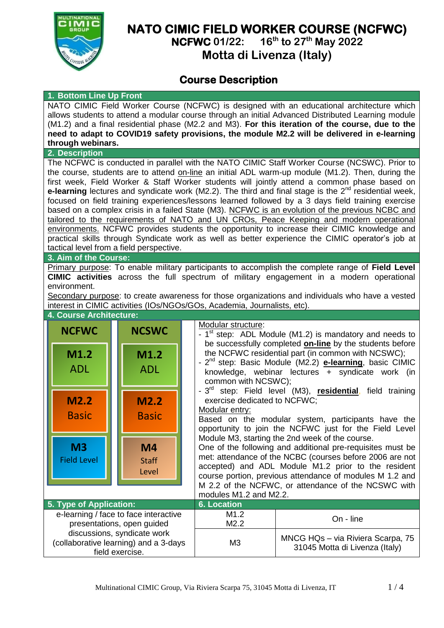

# **NATO CIMIC FIELD WORKER COURSE (NCFWC)**

**NCFWC 01/22: 16 th to 27th May 2022**

**Motta di Livenza (Italy)**

## **Course Description**

#### **1. Bottom Line Up Front**

NATO CIMIC Field Worker Course (NCFWC) is designed with an educational architecture which allows students to attend a modular course through an initial Advanced Distributed Learning module (M1.2) and a final residential phase (M2.2 and M3). **For this iteration of the course, due to the need to adapt to COVID19 safety provisions, the module M2.2 will be delivered in e-learning through webinars.**

#### **2. Description**

The NCFWC is conducted in parallel with the NATO CIMIC Staff Worker Course (NCSWC). Prior to the course, students are to attend on-line an initial ADL warm-up module (M1.2). Then, during the first week, Field Worker & Staff Worker students will jointly attend a common phase based on e-learning lectures and syndicate work (M2.2). The third and final stage is the 2<sup>nd</sup> residential week, focused on field training experiences/lessons learned followed by a 3 days field training exercise based on a complex crisis in a failed State (M3). NCFWC is an evolution of the previous NCBC and tailored to the requirements of NATO and UN CROs, Peace Keeping and modern operational environments. NCFWC provides students the opportunity to increase their CIMIC knowledge and practical skills through Syndicate work as well as better experience the CIMIC operator's job at tactical level from a field perspective.

### **3. Aim of the Course:**

Primary purpose: To enable military participants to accomplish the complete range of **Field Level CIMIC activities** across the full spectrum of military engagement in a modern operational environment.

Secondary purpose: to create awareness for those organizations and individuals who have a vested interest in CIMIC activities (IOs/NGOs/GOs, Academia, Journalists, etc).

|                                                                                         | 4. Course Architecture:              |  |                                         |                                                                       |                                                                                                                                                                                                                                                                                                                                                                                        |                                                                                                                                                                                                                                                                                                                                                     |  |  |  |
|-----------------------------------------------------------------------------------------|--------------------------------------|--|-----------------------------------------|-----------------------------------------------------------------------|----------------------------------------------------------------------------------------------------------------------------------------------------------------------------------------------------------------------------------------------------------------------------------------------------------------------------------------------------------------------------------------|-----------------------------------------------------------------------------------------------------------------------------------------------------------------------------------------------------------------------------------------------------------------------------------------------------------------------------------------------------|--|--|--|
|                                                                                         | <b>NCFWC</b>                         |  | <b>NCSWC</b>                            |                                                                       | Modular structure:<br>- $1st$ step: ADL Module (M1.2) is mandatory and needs to<br>be successfully completed <b>on-line</b> by the students before                                                                                                                                                                                                                                     |                                                                                                                                                                                                                                                                                                                                                     |  |  |  |
|                                                                                         | M1.2<br><b>ADL</b>                   |  | M1.2<br><b>ADL</b>                      | common with NCSWC);<br>exercise dedicated to NCFWC;<br>Modular entry: | the NCFWC residential part (in common with NCSWC);<br>- 2 <sup>nd</sup> step: Basic Module (M2.2) <b>e-learning</b> , basic CIMIC<br>knowledge, webinar lectures + syndicate work (in<br>- 3 <sup>rd</sup> step: Field level (M3), <b>residential</b> , field training<br>Based on the modular system, participants have the<br>opportunity to join the NCFWC just for the Field Level |                                                                                                                                                                                                                                                                                                                                                     |  |  |  |
|                                                                                         | M2.2<br><b>Basic</b>                 |  | M2.2<br><b>Basic</b>                    |                                                                       |                                                                                                                                                                                                                                                                                                                                                                                        |                                                                                                                                                                                                                                                                                                                                                     |  |  |  |
|                                                                                         | M <sub>3</sub><br><b>Field Level</b> |  | M <sub>4</sub><br><b>Staff</b><br>Level |                                                                       | modules M1.2 and M2.2.                                                                                                                                                                                                                                                                                                                                                                 | Module M3, starting the 2nd week of the course.<br>One of the following and additional pre-requisites must be<br>met: attendance of the NCBC (courses before 2006 are not<br>accepted) and ADL Module M1.2 prior to the resident<br>course portion, previous attendance of modules M 1.2 and<br>M 2.2 of the NCFWC, or attendance of the NCSWC with |  |  |  |
| 5. Type of Application:                                                                 |                                      |  |                                         |                                                                       | <b>6. Location</b>                                                                                                                                                                                                                                                                                                                                                                     |                                                                                                                                                                                                                                                                                                                                                     |  |  |  |
| e-learning / face to face interactive<br>presentations, open guided                     |                                      |  |                                         |                                                                       | M1.2<br>M2.2                                                                                                                                                                                                                                                                                                                                                                           | On - line                                                                                                                                                                                                                                                                                                                                           |  |  |  |
| discussions, syndicate work<br>(collaborative learning) and a 3-days<br>field exercise. |                                      |  |                                         |                                                                       | M <sub>3</sub>                                                                                                                                                                                                                                                                                                                                                                         | MNCG HQs - via Riviera Scarpa, 75<br>31045 Motta di Livenza (Italy)                                                                                                                                                                                                                                                                                 |  |  |  |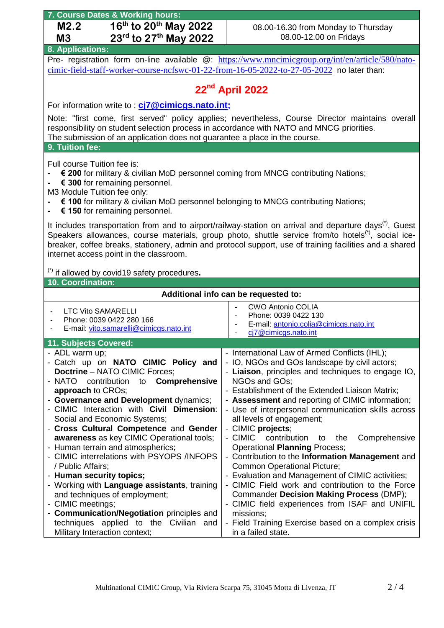| 7. Course Dates & Working hours:                                                                                                                                                                                                                                                                                                                                                                                                                                                                                                                                                                                                                                                                                                                  |                                                                                                                                                                                                                                                                                                                                                                                                                                                                                                                                                                                                                                                                                                                                                                                                                                                                                 |  |  |  |  |  |  |  |  |  |
|---------------------------------------------------------------------------------------------------------------------------------------------------------------------------------------------------------------------------------------------------------------------------------------------------------------------------------------------------------------------------------------------------------------------------------------------------------------------------------------------------------------------------------------------------------------------------------------------------------------------------------------------------------------------------------------------------------------------------------------------------|---------------------------------------------------------------------------------------------------------------------------------------------------------------------------------------------------------------------------------------------------------------------------------------------------------------------------------------------------------------------------------------------------------------------------------------------------------------------------------------------------------------------------------------------------------------------------------------------------------------------------------------------------------------------------------------------------------------------------------------------------------------------------------------------------------------------------------------------------------------------------------|--|--|--|--|--|--|--|--|--|
| 16 <sup>th</sup> to 20 <sup>th</sup> May 2022<br>M2.2                                                                                                                                                                                                                                                                                                                                                                                                                                                                                                                                                                                                                                                                                             | 08.00-16.30 from Monday to Thursday                                                                                                                                                                                                                                                                                                                                                                                                                                                                                                                                                                                                                                                                                                                                                                                                                                             |  |  |  |  |  |  |  |  |  |
| 23rd to 27th May 2022<br>M <sub>3</sub>                                                                                                                                                                                                                                                                                                                                                                                                                                                                                                                                                                                                                                                                                                           | 08.00-12.00 on Fridays                                                                                                                                                                                                                                                                                                                                                                                                                                                                                                                                                                                                                                                                                                                                                                                                                                                          |  |  |  |  |  |  |  |  |  |
| 8. Applications:                                                                                                                                                                                                                                                                                                                                                                                                                                                                                                                                                                                                                                                                                                                                  |                                                                                                                                                                                                                                                                                                                                                                                                                                                                                                                                                                                                                                                                                                                                                                                                                                                                                 |  |  |  |  |  |  |  |  |  |
|                                                                                                                                                                                                                                                                                                                                                                                                                                                                                                                                                                                                                                                                                                                                                   | Pre- registration form on-line available @: https://www.mncimicgroup.org/int/en/article/580/nato-                                                                                                                                                                                                                                                                                                                                                                                                                                                                                                                                                                                                                                                                                                                                                                               |  |  |  |  |  |  |  |  |  |
| cimic-field-staff-worker-course-ncfswc-01-22-from-16-05-2022-to-27-05-2022 no later than:                                                                                                                                                                                                                                                                                                                                                                                                                                                                                                                                                                                                                                                         |                                                                                                                                                                                                                                                                                                                                                                                                                                                                                                                                                                                                                                                                                                                                                                                                                                                                                 |  |  |  |  |  |  |  |  |  |
|                                                                                                                                                                                                                                                                                                                                                                                                                                                                                                                                                                                                                                                                                                                                                   | 22 <sup>nd</sup> April 2022                                                                                                                                                                                                                                                                                                                                                                                                                                                                                                                                                                                                                                                                                                                                                                                                                                                     |  |  |  |  |  |  |  |  |  |
| For information write to: cj7@cimicgs.nato.int;                                                                                                                                                                                                                                                                                                                                                                                                                                                                                                                                                                                                                                                                                                   |                                                                                                                                                                                                                                                                                                                                                                                                                                                                                                                                                                                                                                                                                                                                                                                                                                                                                 |  |  |  |  |  |  |  |  |  |
| Note: "first come, first served" policy applies; nevertheless, Course Director maintains overall<br>responsibility on student selection process in accordance with NATO and MNCG priorities.<br>The submission of an application does not guarantee a place in the course.<br>9. Tuition fee:                                                                                                                                                                                                                                                                                                                                                                                                                                                     |                                                                                                                                                                                                                                                                                                                                                                                                                                                                                                                                                                                                                                                                                                                                                                                                                                                                                 |  |  |  |  |  |  |  |  |  |
|                                                                                                                                                                                                                                                                                                                                                                                                                                                                                                                                                                                                                                                                                                                                                   |                                                                                                                                                                                                                                                                                                                                                                                                                                                                                                                                                                                                                                                                                                                                                                                                                                                                                 |  |  |  |  |  |  |  |  |  |
| Full course Tuition fee is:<br>€ 200 for military & civilian MoD personnel coming from MNCG contributing Nations;<br>€ 300 for remaining personnel.<br>M3 Module Tuition fee only:<br>€ 100 for military & civilian MoD personnel belonging to MNCG contributing Nations;<br>€ 150 for remaining personnel.                                                                                                                                                                                                                                                                                                                                                                                                                                       |                                                                                                                                                                                                                                                                                                                                                                                                                                                                                                                                                                                                                                                                                                                                                                                                                                                                                 |  |  |  |  |  |  |  |  |  |
| It includes transportation from and to airport/railway-station on arrival and departure days <sup>(*)</sup> , Guest<br>Speakers allowances, course materials, group photo, shuttle service from/to hotels <sup>(*)</sup> , social ice-<br>breaker, coffee breaks, stationery, admin and protocol support, use of training facilities and a shared<br>internet access point in the classroom.                                                                                                                                                                                                                                                                                                                                                      |                                                                                                                                                                                                                                                                                                                                                                                                                                                                                                                                                                                                                                                                                                                                                                                                                                                                                 |  |  |  |  |  |  |  |  |  |
| (*) if allowed by covid19 safety procedures.                                                                                                                                                                                                                                                                                                                                                                                                                                                                                                                                                                                                                                                                                                      |                                                                                                                                                                                                                                                                                                                                                                                                                                                                                                                                                                                                                                                                                                                                                                                                                                                                                 |  |  |  |  |  |  |  |  |  |
| 10. Coordination:                                                                                                                                                                                                                                                                                                                                                                                                                                                                                                                                                                                                                                                                                                                                 |                                                                                                                                                                                                                                                                                                                                                                                                                                                                                                                                                                                                                                                                                                                                                                                                                                                                                 |  |  |  |  |  |  |  |  |  |
|                                                                                                                                                                                                                                                                                                                                                                                                                                                                                                                                                                                                                                                                                                                                                   | Additional info can be requested to:                                                                                                                                                                                                                                                                                                                                                                                                                                                                                                                                                                                                                                                                                                                                                                                                                                            |  |  |  |  |  |  |  |  |  |
| <b>LTC Vito SAMARELLI</b><br>Phone: 0039 0422 280 166<br>E-mail: vito.samarelli@cimicgs.nato.int                                                                                                                                                                                                                                                                                                                                                                                                                                                                                                                                                                                                                                                  | <b>CWO Antonio COLIA</b><br>Phone: 0039 0422 130<br>E-mail: antonio.colia@cimicgs.nato.int<br>cj7@cimicgs.nato.int                                                                                                                                                                                                                                                                                                                                                                                                                                                                                                                                                                                                                                                                                                                                                              |  |  |  |  |  |  |  |  |  |
| 11. Subjects Covered:                                                                                                                                                                                                                                                                                                                                                                                                                                                                                                                                                                                                                                                                                                                             |                                                                                                                                                                                                                                                                                                                                                                                                                                                                                                                                                                                                                                                                                                                                                                                                                                                                                 |  |  |  |  |  |  |  |  |  |
| - ADL warm up;<br>- Catch up on NATO CIMIC Policy and<br><b>Doctrine - NATO CIMIC Forces;</b><br>to Comprehensive<br>- NATO<br>contribution<br>approach to CROs;<br>- Governance and Development dynamics;<br>- CIMIC Interaction with Civil Dimension:<br>Social and Economic Systems;<br>- Cross Cultural Competence and Gender<br>awareness as key CIMIC Operational tools;<br>- Human terrain and atmospherics;<br>- CIMIC interrelations with PSYOPS /INFOPS<br>/ Public Affairs;<br>- Human security topics;<br>- Working with Language assistants, training<br>and techniques of employment;<br>- CIMIC meetings;<br>- Communication/Negotiation principles and<br>techniques applied to the Civilian and<br>Military Interaction context; | - International Law of Armed Conflicts (IHL);<br>- IO, NGOs and GOs landscape by civil actors;<br>- Liaison, principles and techniques to engage IO,<br>NGOs and GOs;<br>- Establishment of the Extended Liaison Matrix;<br>- Assessment and reporting of CIMIC information;<br>- Use of interpersonal communication skills across<br>all levels of engagement;<br>- CIMIC projects;<br>- CIMIC<br>contribution<br>Comprehensive<br>the<br>to<br><b>Operational Planning Process;</b><br>- Contribution to the Information Management and<br>Common Operational Picture;<br>- Evaluation and Management of CIMIC activities;<br>- CIMIC Field work and contribution to the Force<br><b>Commander Decision Making Process (DMP);</b><br>- CIMIC field experiences from ISAF and UNIFIL<br>missions;<br>- Field Training Exercise based on a complex crisis<br>in a failed state. |  |  |  |  |  |  |  |  |  |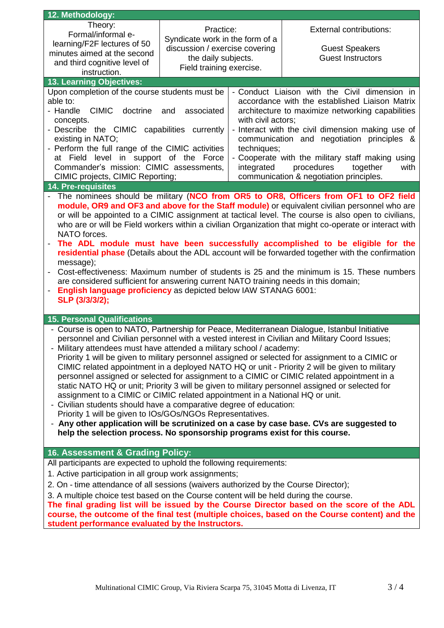| 12. Methodology:                                                                                                                                                                             |                                                                                                                                                                          |                                                  |                                                                                                        |  |  |  |  |  |  |  |
|----------------------------------------------------------------------------------------------------------------------------------------------------------------------------------------------|--------------------------------------------------------------------------------------------------------------------------------------------------------------------------|--------------------------------------------------|--------------------------------------------------------------------------------------------------------|--|--|--|--|--|--|--|
| Theory:                                                                                                                                                                                      |                                                                                                                                                                          |                                                  |                                                                                                        |  |  |  |  |  |  |  |
| Formal/informal e-                                                                                                                                                                           | Practice:                                                                                                                                                                |                                                  | <b>External contributions:</b>                                                                         |  |  |  |  |  |  |  |
| learning/F2F lectures of 50                                                                                                                                                                  | Syndicate work in the form of a<br>discussion / exercise covering                                                                                                        |                                                  | <b>Guest Speakers</b>                                                                                  |  |  |  |  |  |  |  |
| minutes aimed at the second                                                                                                                                                                  | the daily subjects.                                                                                                                                                      |                                                  | <b>Guest Instructors</b>                                                                               |  |  |  |  |  |  |  |
| and third cognitive level of                                                                                                                                                                 | Field training exercise.                                                                                                                                                 |                                                  |                                                                                                        |  |  |  |  |  |  |  |
| instruction.                                                                                                                                                                                 |                                                                                                                                                                          |                                                  |                                                                                                        |  |  |  |  |  |  |  |
| 13. Learning Objectives:                                                                                                                                                                     |                                                                                                                                                                          |                                                  |                                                                                                        |  |  |  |  |  |  |  |
| Upon completion of the course students must be<br>- Conduct Liaison with the Civil dimension in<br>able to:<br>accordance with the established Liaison Matrix                                |                                                                                                                                                                          |                                                  |                                                                                                        |  |  |  |  |  |  |  |
| <b>CIMIC</b><br>- Handle<br>doctrine                                                                                                                                                         |                                                                                                                                                                          | architecture to maximize networking capabilities |                                                                                                        |  |  |  |  |  |  |  |
| concepts.                                                                                                                                                                                    | associated<br>and                                                                                                                                                        | with civil actors;                               |                                                                                                        |  |  |  |  |  |  |  |
| - Describe the CIMIC capabilities currently                                                                                                                                                  |                                                                                                                                                                          |                                                  | - Interact with the civil dimension making use of                                                      |  |  |  |  |  |  |  |
| existing in NATO;                                                                                                                                                                            |                                                                                                                                                                          | communication and negotiation principles &       |                                                                                                        |  |  |  |  |  |  |  |
| - Perform the full range of the CIMIC activities                                                                                                                                             |                                                                                                                                                                          | techniques;                                      |                                                                                                        |  |  |  |  |  |  |  |
| at Field level in support of the Force                                                                                                                                                       |                                                                                                                                                                          |                                                  | - Cooperate with the military staff making using                                                       |  |  |  |  |  |  |  |
| Commander's mission: CIMIC assessments,                                                                                                                                                      |                                                                                                                                                                          | integrated                                       | procedures<br>together<br>with                                                                         |  |  |  |  |  |  |  |
| CIMIC projects, CIMIC Reporting;                                                                                                                                                             |                                                                                                                                                                          |                                                  | communication & negotiation principles.                                                                |  |  |  |  |  |  |  |
| <b>14. Pre-requisites</b>                                                                                                                                                                    |                                                                                                                                                                          |                                                  |                                                                                                        |  |  |  |  |  |  |  |
|                                                                                                                                                                                              |                                                                                                                                                                          |                                                  | The nominees should be military (NCO from OR5 to OR8, Officers from OF1 to OF2 field                   |  |  |  |  |  |  |  |
|                                                                                                                                                                                              |                                                                                                                                                                          |                                                  | module, OR9 and OF3 and above for the Staff module) or equivalent civilian personnel who are           |  |  |  |  |  |  |  |
|                                                                                                                                                                                              |                                                                                                                                                                          |                                                  | or will be appointed to a CIMIC assignment at tactical level. The course is also open to civilians,    |  |  |  |  |  |  |  |
| NATO forces.                                                                                                                                                                                 |                                                                                                                                                                          |                                                  | who are or will be Field workers within a civilian Organization that might co-operate or interact with |  |  |  |  |  |  |  |
|                                                                                                                                                                                              |                                                                                                                                                                          |                                                  | The ADL module must have been successfully accomplished to be eligible for the                         |  |  |  |  |  |  |  |
|                                                                                                                                                                                              |                                                                                                                                                                          |                                                  | residential phase (Details about the ADL account will be forwarded together with the confirmation      |  |  |  |  |  |  |  |
| message);                                                                                                                                                                                    |                                                                                                                                                                          |                                                  |                                                                                                        |  |  |  |  |  |  |  |
|                                                                                                                                                                                              |                                                                                                                                                                          |                                                  | Cost-effectiveness: Maximum number of students is 25 and the minimum is 15. These numbers              |  |  |  |  |  |  |  |
| are considered sufficient for answering current NATO training needs in this domain;                                                                                                          |                                                                                                                                                                          |                                                  |                                                                                                        |  |  |  |  |  |  |  |
| English language proficiency as depicted below IAW STANAG 6001:                                                                                                                              |                                                                                                                                                                          |                                                  |                                                                                                        |  |  |  |  |  |  |  |
| SLP (3/3/3/2);                                                                                                                                                                               |                                                                                                                                                                          |                                                  |                                                                                                        |  |  |  |  |  |  |  |
|                                                                                                                                                                                              |                                                                                                                                                                          |                                                  |                                                                                                        |  |  |  |  |  |  |  |
| <b>15. Personal Qualifications</b>                                                                                                                                                           |                                                                                                                                                                          |                                                  |                                                                                                        |  |  |  |  |  |  |  |
| - Course is open to NATO, Partnership for Peace, Mediterranean Dialogue, Istanbul Initiative                                                                                                 |                                                                                                                                                                          |                                                  |                                                                                                        |  |  |  |  |  |  |  |
|                                                                                                                                                                                              | personnel and Civilian personnel with a vested interest in Civilian and Military Coord Issues;                                                                           |                                                  |                                                                                                        |  |  |  |  |  |  |  |
|                                                                                                                                                                                              | - Military attendees must have attended a military school / academy:<br>Priority 1 will be given to military personnel assigned or selected for assignment to a CIMIC or |                                                  |                                                                                                        |  |  |  |  |  |  |  |
|                                                                                                                                                                                              |                                                                                                                                                                          |                                                  |                                                                                                        |  |  |  |  |  |  |  |
| CIMIC related appointment in a deployed NATO HQ or unit - Priority 2 will be given to military<br>personnel assigned or selected for assignment to a CIMIC or CIMIC related appointment in a |                                                                                                                                                                          |                                                  |                                                                                                        |  |  |  |  |  |  |  |
|                                                                                                                                                                                              | static NATO HQ or unit; Priority 3 will be given to military personnel assigned or selected for                                                                          |                                                  |                                                                                                        |  |  |  |  |  |  |  |
|                                                                                                                                                                                              | assignment to a CIMIC or CIMIC related appointment in a National HQ or unit.                                                                                             |                                                  |                                                                                                        |  |  |  |  |  |  |  |
|                                                                                                                                                                                              | - Civilian students should have a comparative degree of education:                                                                                                       |                                                  |                                                                                                        |  |  |  |  |  |  |  |
| Priority 1 will be given to IOs/GOs/NGOs Representatives.                                                                                                                                    |                                                                                                                                                                          |                                                  |                                                                                                        |  |  |  |  |  |  |  |
| - Any other application will be scrutinized on a case by case base. CVs are suggested to                                                                                                     |                                                                                                                                                                          |                                                  |                                                                                                        |  |  |  |  |  |  |  |
|                                                                                                                                                                                              | help the selection process. No sponsorship programs exist for this course.                                                                                               |                                                  |                                                                                                        |  |  |  |  |  |  |  |
|                                                                                                                                                                                              |                                                                                                                                                                          |                                                  |                                                                                                        |  |  |  |  |  |  |  |
| 16. Assessment & Grading Policy:                                                                                                                                                             |                                                                                                                                                                          |                                                  |                                                                                                        |  |  |  |  |  |  |  |
| All participants are expected to uphold the following requirements:                                                                                                                          |                                                                                                                                                                          |                                                  |                                                                                                        |  |  |  |  |  |  |  |
| 1. Active participation in all group work assignments;                                                                                                                                       |                                                                                                                                                                          |                                                  |                                                                                                        |  |  |  |  |  |  |  |
| 2. On - time attendance of all sessions (waivers authorized by the Course Director);                                                                                                         |                                                                                                                                                                          |                                                  |                                                                                                        |  |  |  |  |  |  |  |
| 3. A multiple choice test based on the Course content will be held during the course.                                                                                                        |                                                                                                                                                                          |                                                  |                                                                                                        |  |  |  |  |  |  |  |
| The final grading list will be issued by the Course Director based on the score of the ADL<br>course, the outcome of the final test (multiple choices, based on the Course content) and the  |                                                                                                                                                                          |                                                  |                                                                                                        |  |  |  |  |  |  |  |
|                                                                                                                                                                                              |                                                                                                                                                                          |                                                  |                                                                                                        |  |  |  |  |  |  |  |
| student performance evaluated by the Instructors.                                                                                                                                            |                                                                                                                                                                          |                                                  |                                                                                                        |  |  |  |  |  |  |  |